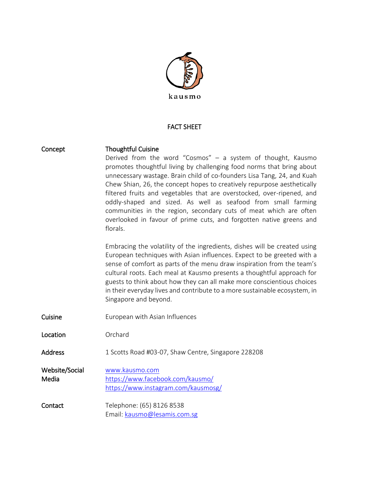

## FACT SHEET

## Concept Thoughtful Cuisine

Derived from the word "Cosmos" – a system of thought, Kausmo promotes thoughtful living by challenging food norms that bring about unnecessary wastage. Brain child of co-founders Lisa Tang, 24, and Kuah Chew Shian, 26, the concept hopes to creatively repurpose aesthetically filtered fruits and vegetables that are overstocked, over-ripened, and oddly-shaped and sized. As well as seafood from small farming communities in the region, secondary cuts of meat which are often overlooked in favour of prime cuts, and forgotten native greens and florals.

Embracing the volatility of the ingredients, dishes will be created using European techniques with Asian influences. Expect to be greeted with a sense of comfort as parts of the menu draw inspiration from the team's cultural roots. Each meal at Kausmo presents a thoughtful approach for guests to think about how they can all make more conscientious choices in their everyday lives and contribute to a more sustainable ecosystem, in Singapore and beyond.

- **Cuisine European with Asian Influences**
- Location **Orchard**
- Address 1 Scotts Road #03-07, Shaw Centre, Singapore 228208

Website/Social Media [www.kausmo.com](http://www.kausmo.com/) <https://www.facebook.com/kausmo/> <https://www.instagram.com/kausmosg/>

Contact Telephone: (65) 8126 8538 Email: [kausmo@lesamis.com.sg](mailto:kausmo@lesamis.com.sg)